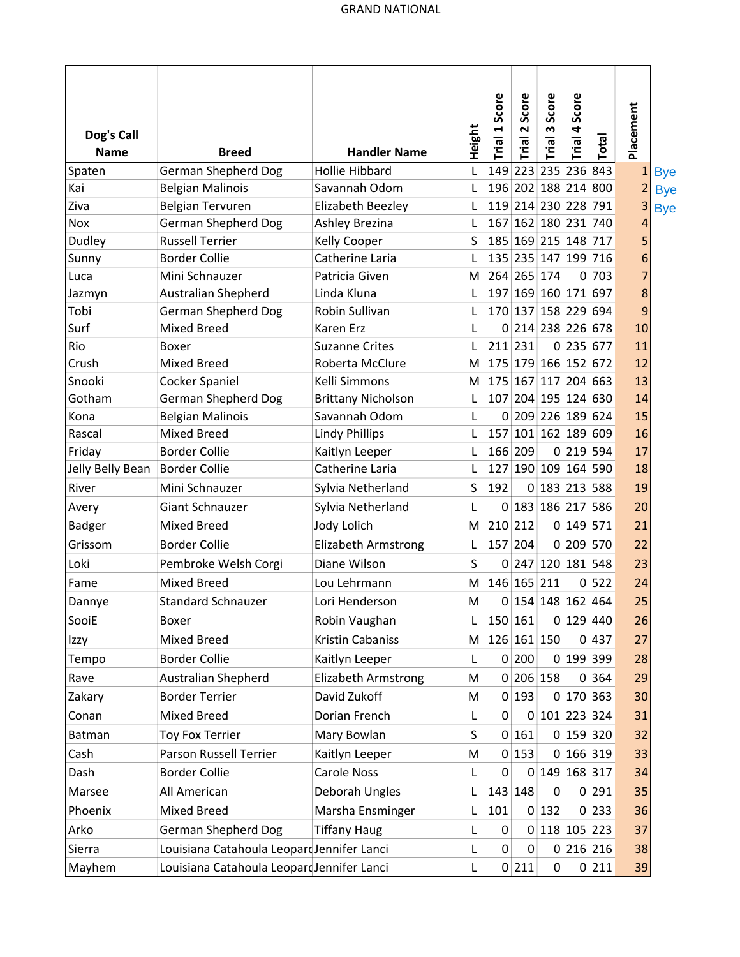| Dog's Call       |                                            |                            | Height | Trial 1 Score | Score<br>Trial 2    | Score<br>w<br>Trial | Score<br>Trial 4 | Total     | Placement      |
|------------------|--------------------------------------------|----------------------------|--------|---------------|---------------------|---------------------|------------------|-----------|----------------|
| <b>Name</b>      | <b>Breed</b>                               | <b>Handler Name</b>        |        |               |                     |                     |                  |           |                |
| Spaten           | <b>German Shepherd Dog</b>                 | <b>Hollie Hibbard</b>      | L      | 149           |                     | 223 235 236 843     |                  |           | $\mathbf{1}$   |
| Kai              | <b>Belgian Malinois</b>                    | Savannah Odom              | L      |               | 196 202 188 214 800 |                     |                  |           | $\overline{2}$ |
| Ziva             | <b>Belgian Tervuren</b>                    | Elizabeth Beezley          | L      |               | 119 214 230 228 791 |                     |                  |           | 3              |
| Nox              | <b>German Shepherd Dog</b>                 | Ashley Brezina             | L      | 167           |                     | 162 180 231 740     |                  |           | 4              |
| Dudley           | <b>Russell Terrier</b>                     | Kelly Cooper               | S      |               | 185 169 215 148 717 |                     |                  |           | 5              |
| Sunny            | <b>Border Collie</b>                       | Catherine Laria            |        |               | 135 235 147 199 716 |                     |                  |           | 6              |
| Luca             | Mini Schnauzer                             | Patricia Given             | M      |               | 264 265 174         |                     |                  | 0 703     | 7              |
| Jazmyn           | Australian Shepherd                        | Linda Kluna                |        |               | 197 169 160 171 697 |                     |                  |           | 8              |
| Tobi             | <b>German Shepherd Dog</b>                 | Robin Sullivan             | L      |               | 170 137 158 229 694 |                     |                  |           | 9              |
| Surf             | <b>Mixed Breed</b>                         | Karen Erz                  | L      |               | 0 214 238 226 678   |                     |                  |           | 10             |
| Rio              | Boxer                                      | <b>Suzanne Crites</b>      | L      | 211           | 231                 |                     |                  | 0 235 677 | 11             |
| Crush            | <b>Mixed Breed</b>                         | Roberta McClure            | М      |               | 175 179 166 152 672 |                     |                  |           | 12             |
| Snooki           | Cocker Spaniel                             | Kelli Simmons              | M      |               | 175 167 117 204 663 |                     |                  |           | 13             |
| Gotham           | <b>German Shepherd Dog</b>                 | <b>Brittany Nicholson</b>  | L      |               | 107 204 195 124 630 |                     |                  |           | 14             |
| Kona             | <b>Belgian Malinois</b>                    | Savannah Odom              | L      |               | 0 209 226 189 624   |                     |                  |           | 15             |
| Rascal           | <b>Mixed Breed</b>                         | <b>Lindy Phillips</b>      | L      | 157           |                     | $101$ 162 189 609   |                  |           | 16             |
| Friday           | <b>Border Collie</b>                       | Kaitlyn Leeper             | L      |               | 166 209             |                     | 0 219 594        |           | 17             |
| Jelly Belly Bean | <b>Border Collie</b>                       | Catherine Laria            | L      | 127           |                     | 190 109 164 590     |                  |           | 18             |
| River            | Mini Schnauzer                             | Sylvia Netherland          | S      | 192           |                     | 0 183 213 588       |                  |           | 19             |
| Avery            | Giant Schnauzer                            | Sylvia Netherland          | L      |               | 0 183 186 217 586   |                     |                  |           | 20             |
| <b>Badger</b>    | Mixed Breed                                | Jody Lolich                | M      |               | 210 212             |                     | 0 149 571        |           | 21             |
| Grissom          | <b>Border Collie</b>                       | <b>Elizabeth Armstrong</b> | L      |               | 157 204             |                     |                  | 0 209 570 | 22             |
| Loki             | Pembroke Welsh Corgi                       | Diane Wilson               | S      | 0             |                     | 247 120 181 548     |                  |           | 23             |
| Fame             | <b>Mixed Breed</b>                         | Lou Lehrmann               | M      |               | 146 165 211         |                     |                  | 0 522     | 24             |
| Dannye           | <b>Standard Schnauzer</b>                  | Lori Henderson             | M      |               | 0 154 148 162 464   |                     |                  |           | 25             |
| SooiE            | Boxer                                      | Robin Vaughan              | L      |               | 150 161             |                     |                  | 0 129 440 | 26             |
| Izzy             | <b>Mixed Breed</b>                         | Kristin Cabaniss           | M      |               | 126 161 150         |                     |                  | 0 437     | 27             |
| Tempo            | <b>Border Collie</b>                       | Kaitlyn Leeper             | L      |               | 0 200               |                     |                  | 0 199 399 | 28             |
| Rave             | <b>Australian Shepherd</b>                 | <b>Elizabeth Armstrong</b> | M      |               | 0 206 158           |                     |                  | 0 364     | 29             |
|                  |                                            |                            |        |               |                     |                     |                  |           |                |
| Zakary           | <b>Border Terrier</b>                      | David Zukoff               | M      |               | 0 193               |                     |                  | 0 170 363 | 30             |
| Conan            | <b>Mixed Breed</b>                         | Dorian French              | L      | 0             |                     | 0 101 223 324       |                  |           | 31             |
| Batman           | <b>Toy Fox Terrier</b>                     | Mary Bowlan                | S      |               | 0 161               |                     |                  | 0 159 320 | 32             |
| Cash             | Parson Russell Terrier                     | Kaitlyn Leeper             | M      |               | 0 153               |                     |                  | 0 166 319 | 33             |
| Dash             | <b>Border Collie</b>                       | Carole Noss                | L      | 0             |                     | 0 149 168 317       |                  |           | 34             |
| Marsee           | All American                               | Deborah Ungles             | L      |               | 143 148             | 0                   |                  | 0 291     | 35             |
| Phoenix          | <b>Mixed Breed</b>                         | Marsha Ensminger           | L      | 101           |                     | 0 132               |                  | 0 233     | 36             |
| Arko             | <b>German Shepherd Dog</b>                 | <b>Tiffany Haug</b>        | L      | 0             |                     | 0 118 105 223       |                  |           | 37             |
| Sierra           | Louisiana Catahoula Leopard Jennifer Lanci |                            | L      | 0             | $\mathbf 0$         |                     |                  | 0 216 216 | 38             |
| Mayhem           | Louisiana Catahoula Leopard Jennifer Lanci |                            | L      |               | 0 211               | $\overline{0}$      |                  | 0 211     | 39             |